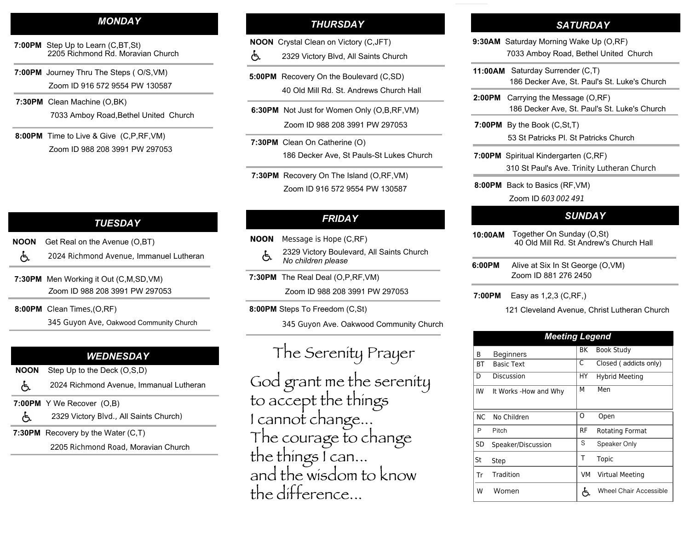#### *MONDAY*

- **7:00PM** Step Up to Learn (C,BT,St)<br>2205 Bichmond Pd, Moray 2205 Richmond Rd. Moravian Church
- **7:00PM** Journey Thru The Steps ( O/S,VM)Zoom ID 916 572 9554 PW 130587
- **7:30PM** Clean Machine (O,BK) 7033 Amboy Road,Bethel United Church
- **8:00PM** Time to Live & Give (C,P, RF,VM)Zoom ID 988 208 3991 PW 297053

## *THURSDAY*

- **NOON** Crystal Clean on Victory (C,JFT)
- ් 2329 Victory Blvd, All Saints Church
- **5:00PM** Recovery On the Boulevard (C,SD) 40 Old Mill Rd. St. Andrews Church Hall
- **6:30PM** Not Just for Women Only (O,B,RF,VM) Zoom ID 988 208 3991 PW 297053
- **7:30PM** Clean On Catherine (O) 186 Decker Ave, St Pauls-St Lukes Church
- **7:30PM** Recovery On The Island (O,RF,VM)Zoom ID 916 572 9554 PW 130587

## *FRIDAY*

- **NOON** Message is Hope (C,RF)
	- 2329 Victory Boulevard, All Saints Church よ *No children please*
- **7:30PM** The Real Deal ( O,P,RF,VM)Zoom ID 988 208 3991 PW 297053
	-
- **8:00PM** Steps To Freedom (C,St)

345 Guyon Ave. Oakwood Community Church

# The Serenity Prayer

God grant me the serenity<br>to accept the things<br>I cannot change...<br>The courage to change<br>the things I can...<br>and the wisdom to know the difference...

### *SATURDAY*

- **9:30AM** Saturday Morning Wake Up (O,RF) 7033 Amboy Road, Bethel United Church
- **11:00AM** Saturday Surrender (C,T)186 Decker Ave, St. Paul's St. Luke's Church
- **2:00PM** Carrying the Message (O,RF)186 Decker Ave, St. Paul's St. Luke's Church
- **7:00PM** By the Book (C,St,T) 53 St Patricks Pl. St Patricks Church
- **7:00PM** Spiritual Kindergarten (C,RF)310 St Paul's Ave. Trinity Lutheran Church
- **8:00PM** Back to Basics (RF,VM)
	- Zoom ID *603 <sup>002</sup> <sup>491</sup>*

#### *SUNDAY*

- **10:00AM** Together On Sunday (O,St) 40 Old Mill Rd. St Andrew's Church Hall
- **6:00PM** Alive at Six In St George (O,VM) Zoom ID 881 276 2450
- **7:00PM** Easy as 1,2,3 (C,RF,)

#### 121 Cleveland Avenue, Christ Lutheran Church

| <b>Meeting Legend</b> |                       |    |                        |
|-----------------------|-----------------------|----|------------------------|
| В                     | <b>Beginners</b>      | ВK | <b>Book Study</b>      |
| <b>BT</b>             | <b>Basic Text</b>     | C  | Closed (addicts only)  |
| D                     | Discussion            | HY | <b>Hybrid Meeting</b>  |
| IW                    | It Works -How and Why | м  | Men                    |
| N <sub>C</sub>        | No Children           | O  | Open                   |
| P                     | Pitch                 | RF | Rotating Format        |
| SD                    | Speaker/Discussion    | S  | Speaker Only           |
| St                    | Step                  | Т  | Topic                  |
| Tr                    | Tradition             | VM | Virtual Meeting        |
| W                     | Women                 | ے  | Wheel Chair Accessible |

# *TUESDAY*

- **NOONN** Get Real on the Avenue (O,BT)
	- දැ 2024 Richmond Avenue, Immanuel Lutheran
- **7:30PM** Men Working it Out (C,M,SD,VM) *Z*oom ID 988 208 3991 PW 297053
- **8:00PM** Clean Times,(O,RF)
	- 345 Guyon Ave, Oakwood Community Church

## *WEDNESDAY*

- **NOON**Step Up to the Deck (O,S,D)
- 2024 Richmond Avenue, Immanual Lutheran
- **7:00PM** Y We Recover (O,B)
- ් 2329 Victory Blvd., All Saints Church)
- **7:30PM** Recovery by the Water (C,T)

2205 Richmond Road, Moravian Church